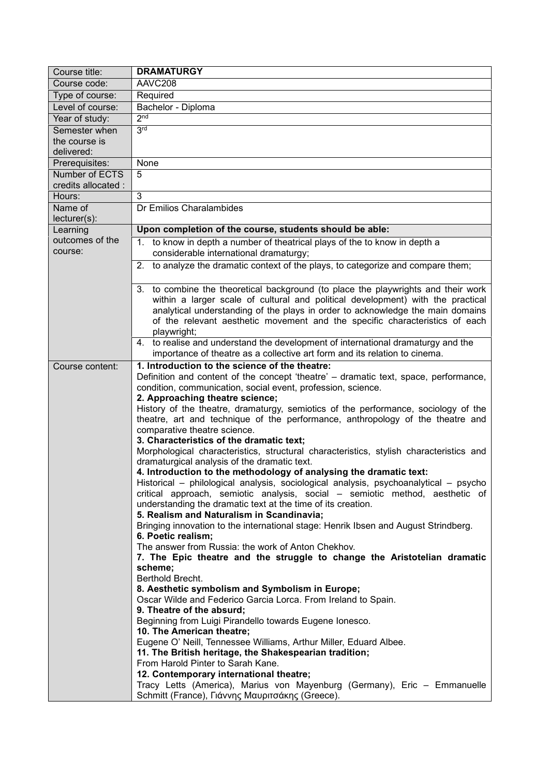| Course title:         | <b>DRAMATURGY</b>                                                                                                                            |
|-----------------------|----------------------------------------------------------------------------------------------------------------------------------------------|
| Course code:          | AAVC208                                                                                                                                      |
| Type of course:       | Required                                                                                                                                     |
| Level of course:      | Bachelor - Diploma                                                                                                                           |
| Year of study:        | 2 <sup>nd</sup>                                                                                                                              |
| Semester when         | 3 <sup>rd</sup>                                                                                                                              |
| the course is         |                                                                                                                                              |
| delivered:            |                                                                                                                                              |
| Prerequisites:        | None                                                                                                                                         |
| <b>Number of ECTS</b> | 5                                                                                                                                            |
| credits allocated :   |                                                                                                                                              |
| Hours:                | 3                                                                                                                                            |
| Name of               | Dr Emilios Charalambides                                                                                                                     |
| $lecturer(s)$ :       |                                                                                                                                              |
| Learning              | Upon completion of the course, students should be able:                                                                                      |
| outcomes of the       | 1. to know in depth a number of theatrical plays of the to know in depth a                                                                   |
| course:               | considerable international dramaturgy;                                                                                                       |
|                       | 2. to analyze the dramatic context of the plays, to categorize and compare them;                                                             |
|                       |                                                                                                                                              |
|                       | 3. to combine the theoretical background (to place the playwrights and their work                                                            |
|                       | within a larger scale of cultural and political development) with the practical                                                              |
|                       | analytical understanding of the plays in order to acknowledge the main domains                                                               |
|                       | of the relevant aesthetic movement and the specific characteristics of each                                                                  |
|                       | playwright;                                                                                                                                  |
|                       | 4. to realise and understand the development of international dramaturgy and the                                                             |
|                       | importance of theatre as a collective art form and its relation to cinema.                                                                   |
| Course content:       | 1. Introduction to the science of the theatre:                                                                                               |
|                       | Definition and content of the concept 'theatre' – dramatic text, space, performance,                                                         |
|                       | condition, communication, social event, profession, science.                                                                                 |
|                       | 2. Approaching theatre science;                                                                                                              |
|                       | History of the theatre, dramaturgy, semiotics of the performance, sociology of the                                                           |
|                       | theatre, art and technique of the performance, anthropology of the theatre and                                                               |
|                       | comparative theatre science.                                                                                                                 |
|                       | 3. Characteristics of the dramatic text;                                                                                                     |
|                       | Morphological characteristics, structural characteristics, stylish characteristics and                                                       |
|                       | dramaturgical analysis of the dramatic text.                                                                                                 |
|                       | 4. Introduction to the methodology of analysing the dramatic text:                                                                           |
|                       | Historical – philological analysis, sociological analysis, psychoanalytical – psycho                                                         |
|                       | critical approach, semiotic analysis, social – semiotic method, aesthetic of<br>understanding the dramatic text at the time of its creation. |
|                       | 5. Realism and Naturalism in Scandinavia;                                                                                                    |
|                       | Bringing innovation to the international stage: Henrik Ibsen and August Strindberg.                                                          |
|                       | 6. Poetic realism;                                                                                                                           |
|                       | The answer from Russia: the work of Anton Chekhov.                                                                                           |
|                       | 7. The Epic theatre and the struggle to change the Aristotelian dramatic                                                                     |
|                       | scheme;                                                                                                                                      |
|                       | Berthold Brecht.                                                                                                                             |
|                       | 8. Aesthetic symbolism and Symbolism in Europe;                                                                                              |
|                       | Oscar Wilde and Federico Garcia Lorca. From Ireland to Spain.                                                                                |
|                       | 9. Theatre of the absurd;                                                                                                                    |
|                       | Beginning from Luigi Pirandello towards Eugene Ionesco.                                                                                      |
|                       | 10. The American theatre;                                                                                                                    |
|                       | Eugene O' Neill, Tennessee Williams, Arthur Miller, Eduard Albee.                                                                            |
|                       | 11. The British heritage, the Shakespearian tradition;                                                                                       |
|                       | From Harold Pinter to Sarah Kane.                                                                                                            |
|                       | 12. Contemporary international theatre;                                                                                                      |
|                       | Tracy Letts (America), Marius von Mayenburg (Germany), Eric - Emmanuelle                                                                     |
|                       | Schmitt (France), Γιάννης Μαυριτσάκης (Greece).                                                                                              |